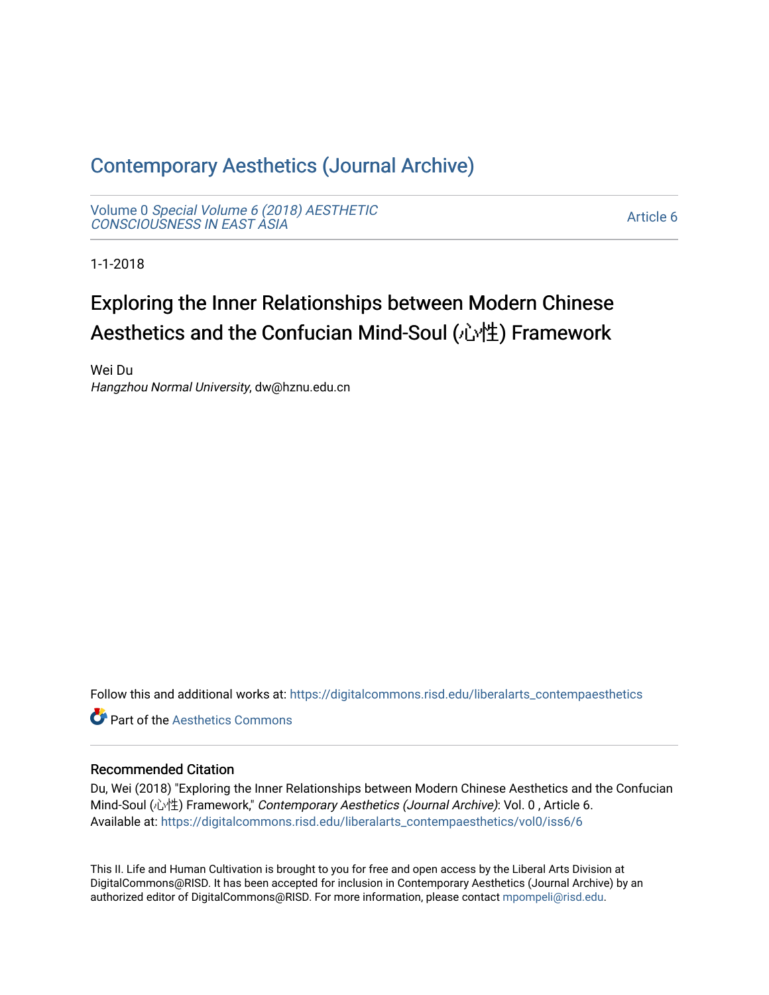# [Contemporary Aesthetics \(Journal Archive\)](https://digitalcommons.risd.edu/liberalarts_contempaesthetics)

Volume 0 [Special Volume 6 \(2018\) AESTHETIC](https://digitalcommons.risd.edu/liberalarts_contempaesthetics/vol0) [CONSCIOUSNESS IN EAST ASIA](https://digitalcommons.risd.edu/liberalarts_contempaesthetics/vol0)

[Article 6](https://digitalcommons.risd.edu/liberalarts_contempaesthetics/vol0/iss6/6) 

1-1-2018

# Exploring the Inner Relationships between Modern Chinese Aesthetics and the Confucian Mind-Soul (心性) Framework

Wei Du Hangzhou Normal University, dw@hznu.edu.cn

Follow this and additional works at: [https://digitalcommons.risd.edu/liberalarts\\_contempaesthetics](https://digitalcommons.risd.edu/liberalarts_contempaesthetics?utm_source=digitalcommons.risd.edu%2Fliberalarts_contempaesthetics%2Fvol0%2Fiss6%2F6&utm_medium=PDF&utm_campaign=PDFCoverPages) 

**C** Part of the Aesthetics Commons

#### Recommended Citation

Du, Wei (2018) "Exploring the Inner Relationships between Modern Chinese Aesthetics and the Confucian Mind-Soul (心性) Framework," Contemporary Aesthetics (Journal Archive): Vol. 0 , Article 6. Available at: [https://digitalcommons.risd.edu/liberalarts\\_contempaesthetics/vol0/iss6/6](https://digitalcommons.risd.edu/liberalarts_contempaesthetics/vol0/iss6/6?utm_source=digitalcommons.risd.edu%2Fliberalarts_contempaesthetics%2Fvol0%2Fiss6%2F6&utm_medium=PDF&utm_campaign=PDFCoverPages)

This II. Life and Human Cultivation is brought to you for free and open access by the Liberal Arts Division at DigitalCommons@RISD. It has been accepted for inclusion in Contemporary Aesthetics (Journal Archive) by an authorized editor of DigitalCommons@RISD. For more information, please contact [mpompeli@risd.edu.](mailto:mpompeli@risd.edu)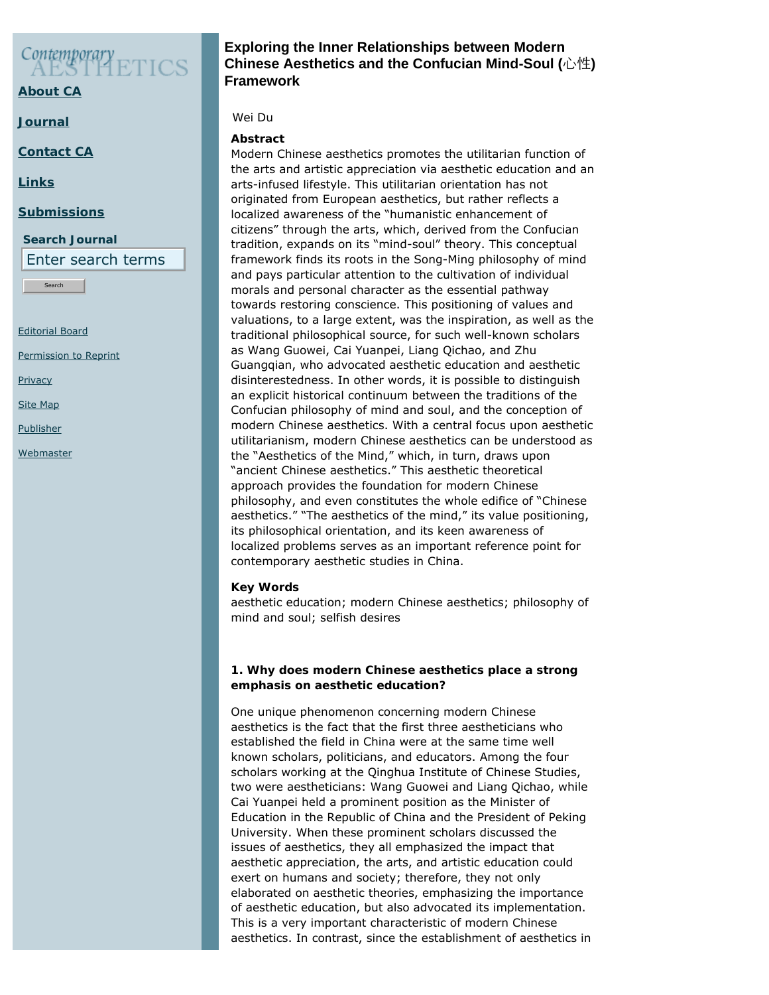# Contemporary<br>AESTIC

**[About CA](https://www.contempaesthetics.org/pages/about.html)**

**[Journal](https://www.contempaesthetics.org/newvolume/pages/journal.php)**

**[Contact CA](https://www.contempaesthetics.org/pages/contact.html)**

**[Links](https://www.contempaesthetics.org/pages/links.html)**

#### **[Submissions](https://www.contempaesthetics.org/pages/guidelines.html)**

**Search Journal** Enter search terms

Search

[Editorial Board](https://www.contempaesthetics.org/pages/editorialboard.html)

[Permission to Reprint](https://www.contempaesthetics.org/pages/reprint.html)

**[Privacy](https://www.contempaesthetics.org/pages/privacy.html)** 

[Site Map](https://www.contempaesthetics.org/pages/sitemap.html)

**[Publisher](https://www.contempaesthetics.org/pages/publisher.html)** 

**[Webmaster](mailto:webmaster@contempaesthetics.org)** 

## **Exploring the Inner Relationships between Modern Chinese Aesthetics and the Confucian Mind-Soul (**心性**) Framework**

## *Wei Du*

## **Abstract**

Modern Chinese aesthetics promotes the utilitarian function of the arts and artistic appreciation via aesthetic education and an arts-infused lifestyle. This utilitarian orientation has not originated from European aesthetics, but rather reflects a localized awareness of the "humanistic enhancement of citizens" through the arts, which, derived from the Confucian tradition, expands on its "mind-soul" theory. This conceptual framework finds its roots in the Song-Ming philosophy of mind and pays particular attention to the cultivation of individual morals and personal character as the essential pathway towards restoring conscience. This positioning of values and valuations, to a large extent, was the inspiration, as well as the traditional philosophical source, for such well-known scholars as Wang Guowei, Cai Yuanpei, Liang Qichao, and Zhu Guangqian, who advocated aesthetic education and aesthetic disinterestedness. In other words, it is possible to distinguish an explicit historical continuum between the traditions of the Confucian philosophy of mind and soul, and the conception of modern Chinese aesthetics. With a central focus upon aesthetic utilitarianism, modern Chinese aesthetics can be understood as the "Aesthetics of the Mind," which, in turn, draws upon "ancient Chinese aesthetics." This aesthetic theoretical approach provides the foundation for modern Chinese philosophy, and even constitutes the whole edifice of "Chinese aesthetics." "The aesthetics of the mind," its value positioning, its philosophical orientation, and its keen awareness of localized problems serves as an important reference point for contemporary aesthetic studies in China.

#### **Key Words**

aesthetic education; modern Chinese aesthetics; philosophy of mind and soul; selfish desires

#### **1. Why does modern Chinese aesthetics place a strong emphasis on aesthetic education?**

One unique phenomenon concerning modern Chinese aesthetics is the fact that the first three aestheticians who established the field in China were at the same time well known scholars, politicians, and educators. Among the four scholars working at the Qinghua Institute of Chinese Studies, two were aestheticians: Wang Guowei and Liang Qichao, while Cai Yuanpei held a prominent position as the Minister of Education in the Republic of China and the President of Peking University. When these prominent scholars discussed the issues of aesthetics, they all emphasized the impact that aesthetic appreciation, the arts, and artistic education could exert on humans and society; therefore, they not only elaborated on aesthetic theories, emphasizing the importance of aesthetic education, but also advocated its implementation. This is a very important characteristic of modern Chinese aesthetics. In contrast, since the establishment of aesthetics in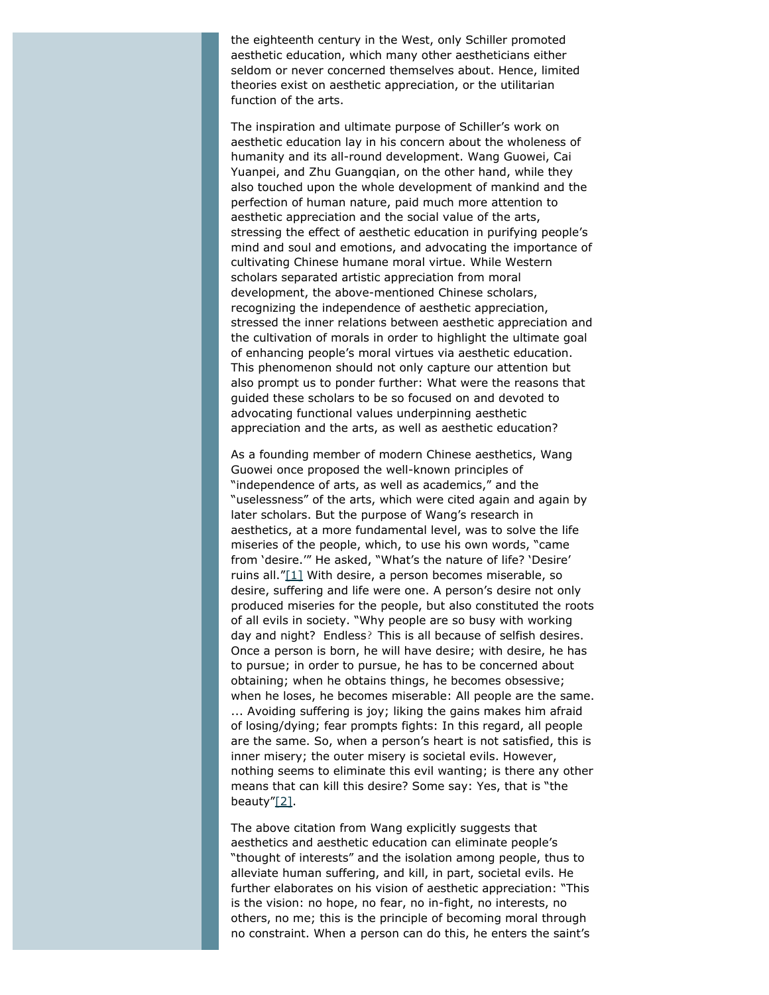the eighteenth century in the West, only Schiller promoted aesthetic education, which many other aestheticians either seldom or never concerned themselves about. Hence, limited theories exist on aesthetic appreciation, or the utilitarian function of the arts.

The inspiration and ultimate purpose of Schiller's work on aesthetic education lay in his concern about the wholeness of humanity and its all-round development. Wang Guowei, Cai Yuanpei, and Zhu Guangqian, on the other hand, while they also touched upon the whole development of mankind and the perfection of human nature, paid much more attention to aesthetic appreciation and the social value of the arts, stressing the effect of aesthetic education in purifying people's mind and soul and emotions, and advocating the importance of cultivating Chinese humane moral virtue. While Western scholars separated artistic appreciation from moral development, the above-mentioned Chinese scholars, recognizing the independence of aesthetic appreciation, stressed the inner relations between aesthetic appreciation and the cultivation of morals in order to highlight the ultimate goal of enhancing people's moral virtues via aesthetic education. This phenomenon should not only capture our attention but also prompt us to ponder further: What were the reasons that guided these scholars to be so focused on and devoted to advocating functional values underpinning aesthetic appreciation and the arts, as well as aesthetic education?

<span id="page-2-0"></span>As a founding member of modern Chinese aesthetics, Wang Guowei once proposed the well-known principles of "independence of arts, as well as academics," and the "uselessness" of the arts, which were cited again and again by later scholars. But the purpose of Wang's research in aesthetics, at a more fundamental level, was to solve the life miseries of the people, which, to use his own words, "came from 'desire.'" He asked, "What's the nature of life? 'Desire' ruins all.["\[1\]](#page-12-0) With desire, a person becomes miserable, so desire, suffering and life were one. A person's desire not only produced miseries for the people, but also constituted the roots of all evils in society. "Why people are so busy with working day and night? Endless? This is all because of selfish desires. Once a person is born, he will have desire; with desire, he has to pursue; in order to pursue, he has to be concerned about obtaining; when he obtains things, he becomes obsessive; when he loses, he becomes miserable: All people are the same. ... Avoiding suffering is joy; liking the gains makes him afraid of losing/dying; fear prompts fights: In this regard, all people are the same. So, when a person's heart is not satisfied, this is inner misery; the outer misery is societal evils. However, nothing seems to eliminate this evil wanting; is there any other means that can kill this desire? Some say: Yes, that is "the beauty["\[2\].](#page-13-0)

<span id="page-2-1"></span>The above citation from Wang explicitly suggests that aesthetics and aesthetic education can eliminate people's "thought of interests" and the isolation among people, thus to alleviate human suffering, and kill, in part, societal evils. He further elaborates on his vision of aesthetic appreciation: "This is the vision: no hope, no fear, no in-fight, no interests, no others, no me; this is the principle of becoming moral through no constraint. When a person can do this, he enters the saint's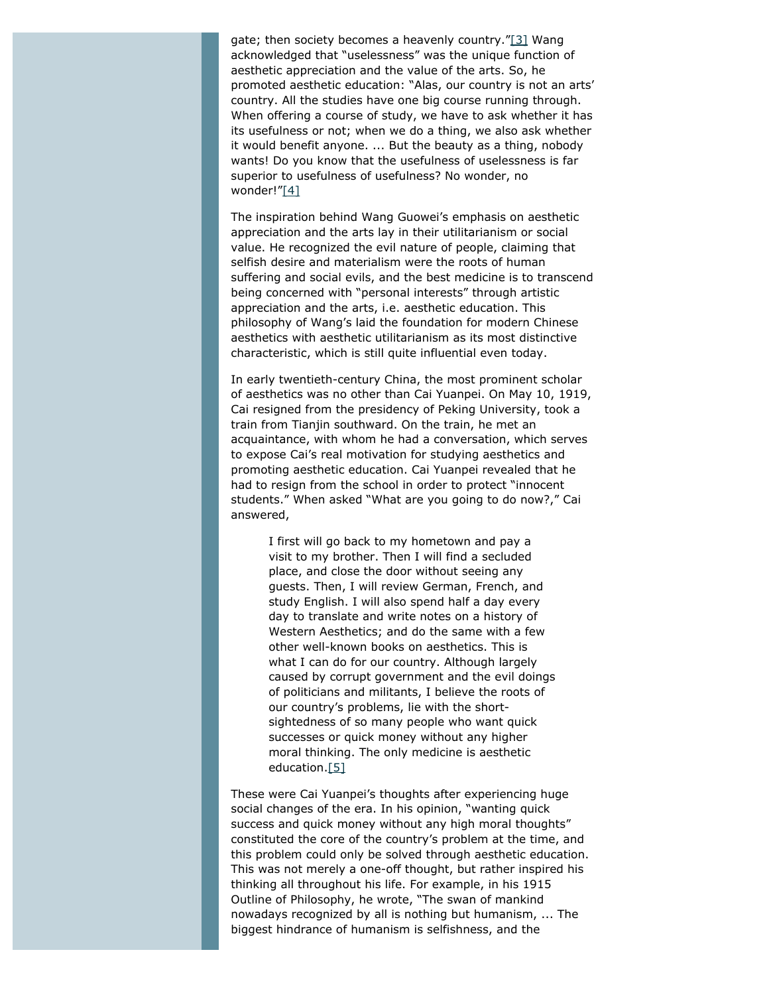<span id="page-3-0"></span>gate; then society becomes a heavenly country.["\[3\]](#page-13-1) Wang acknowledged that "uselessness" was the unique function of aesthetic appreciation and the value of the arts. So, he promoted aesthetic education: "Alas, our country is not an arts' country. All the studies have one big course running through. When offering a course of study, we have to ask whether it has its usefulness or not; when we do a thing, we also ask whether it would benefit anyone. ... But the beauty as a thing, nobody wants! Do you know that the usefulness of uselessness is far superior to usefulness of usefulness? No wonder, no wonder!["\[4\]](#page-13-2)

<span id="page-3-1"></span>The inspiration behind Wang Guowei's emphasis on aesthetic appreciation and the arts lay in their utilitarianism or social value. He recognized the evil nature of people, claiming that selfish desire and materialism were the roots of human suffering and social evils, and the best medicine is to transcend being concerned with "personal interests" through artistic appreciation and the arts, i.e. aesthetic education. This philosophy of Wang's laid the foundation for modern Chinese aesthetics with aesthetic utilitarianism as its most distinctive characteristic, which is still quite influential even today.

In early twentieth-century China, the most prominent scholar of aesthetics was no other than Cai Yuanpei. On May 10, 1919, Cai resigned from the presidency of Peking University, took a train from Tianjin southward. On the train, he met an acquaintance, with whom he had a conversation, which serves to expose Cai's real motivation for studying aesthetics and promoting aesthetic education. Cai Yuanpei revealed that he had to resign from the school in order to protect "innocent students." When asked "What are you going to do now?," Cai answered,

I first will go back to my hometown and pay a visit to my brother. Then I will find a secluded place, and close the door without seeing any guests. Then, I will review German, French, and study English. I will also spend half a day every day to translate and write notes on a history of Western Aesthetics; and do the same with a few other well-known books on aesthetics. This is what I can do for our country. Although largely caused by corrupt government and the evil doings of politicians and militants, I believe the roots of our country's problems, lie with the shortsightedness of so many people who want quick successes or quick money without any higher moral thinking. The only medicine is aesthetic education[.\[5\]](#page-13-3)

<span id="page-3-2"></span>These were Cai Yuanpei's thoughts after experiencing huge social changes of the era. In his opinion, "wanting quick success and quick money without any high moral thoughts" constituted the core of the country's problem at the time, and this problem could only be solved through aesthetic education. This was not merely a one-off thought, but rather inspired his thinking all throughout his life. For example, in his 1915 *Outline of Philosophy*, he wrote, "The swan of mankind nowadays recognized by all is nothing but humanism, ... The biggest hindrance of humanism is selfishness, and the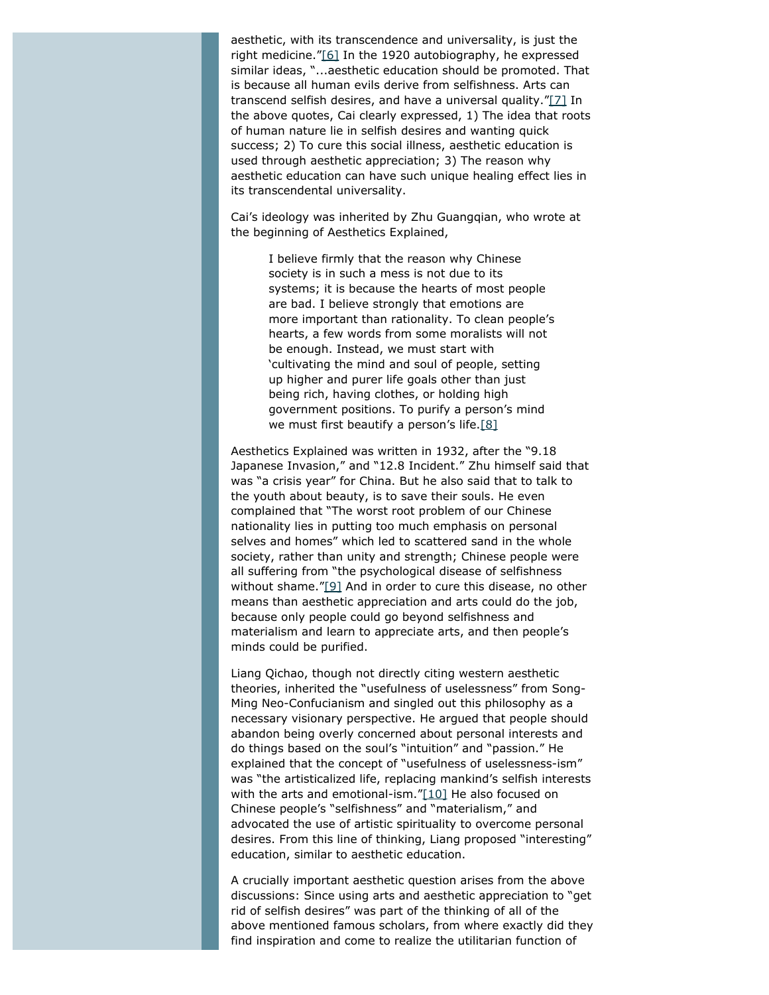<span id="page-4-1"></span><span id="page-4-0"></span>aesthetic, with its transcendence and universality, is just the right medicine.["\[6\]](#page-13-4) In the 1920 autobiography, he expressed similar ideas, "...aesthetic education should be promoted. That is because all human evils derive from selfishness. Arts can transcend selfish desires, and have a universal quality.["\[7\]](#page-13-5) In the above quotes, Cai clearly expressed, 1) The idea that roots of human nature lie in selfish desires and wanting quick success; 2) To cure this social illness, aesthetic education is used through aesthetic appreciation; 3) The reason why aesthetic education can have such unique healing effect lies in its transcendental universality.

Cai's ideology was inherited by Zhu Guangqian, who wrote at the beginning of *Aesthetics Explained*,

> I believe firmly that the reason why Chinese society is in such a mess is not due to its systems; it is because the hearts of most people are bad. I believe strongly that emotions are more important than rationality. To clean people's hearts, a few words from some moralists will not be enough. Instead, we must start with 'cultivating the mind and soul of people, setting up higher and purer life goals other than just being rich, having clothes, or holding high government positions. To purify a person's mind we must first beautify a person's life. $[8]$

<span id="page-4-2"></span>*Aesthetics Explained* was written in 1932, after the "9.18 Japanese Invasion," and "12.8 Incident." Zhu himself said that was "a crisis year" for China. But he also said that to talk to the youth about beauty, is to save their souls. He even complained that "The worst root problem of our Chinese nationality lies in putting too much emphasis on personal selves and homes" which led to scattered sand in the whole society, rather than unity and strength; Chinese people were all suffering from "the psychological disease of selfishness without shame.["\[9\]](#page-13-7) And in order to cure this disease, no other means than aesthetic appreciation and arts could do the job, because only people could go beyond selfishness and materialism and learn to appreciate arts, and then people's minds could be purified.

<span id="page-4-3"></span>Liang Qichao, though not directly citing western aesthetic theories, inherited the "usefulness of uselessness" from Song-Ming Neo-Confucianism and singled out this philosophy as a necessary visionary perspective. He argued that people should abandon being overly concerned about personal interests and do things based on the soul's "intuition" and "passion." He explained that the concept of "usefulness of uselessness-ism" was "the artisticalized life, replacing mankind's selfish interests with the arts and emotional-ism.["\[10\]](#page-13-8) He also focused on Chinese people's "selfishness" and "materialism," and advocated the use of artistic spirituality to overcome personal desires. From this line of thinking, Liang proposed "interesting" education, similar to aesthetic education.

<span id="page-4-4"></span>A crucially important aesthetic question arises from the above discussions: Since using arts and aesthetic appreciation to "get rid of selfish desires" was part of the thinking of all of the above mentioned famous scholars, from where exactly did they find inspiration and come to realize the utilitarian function of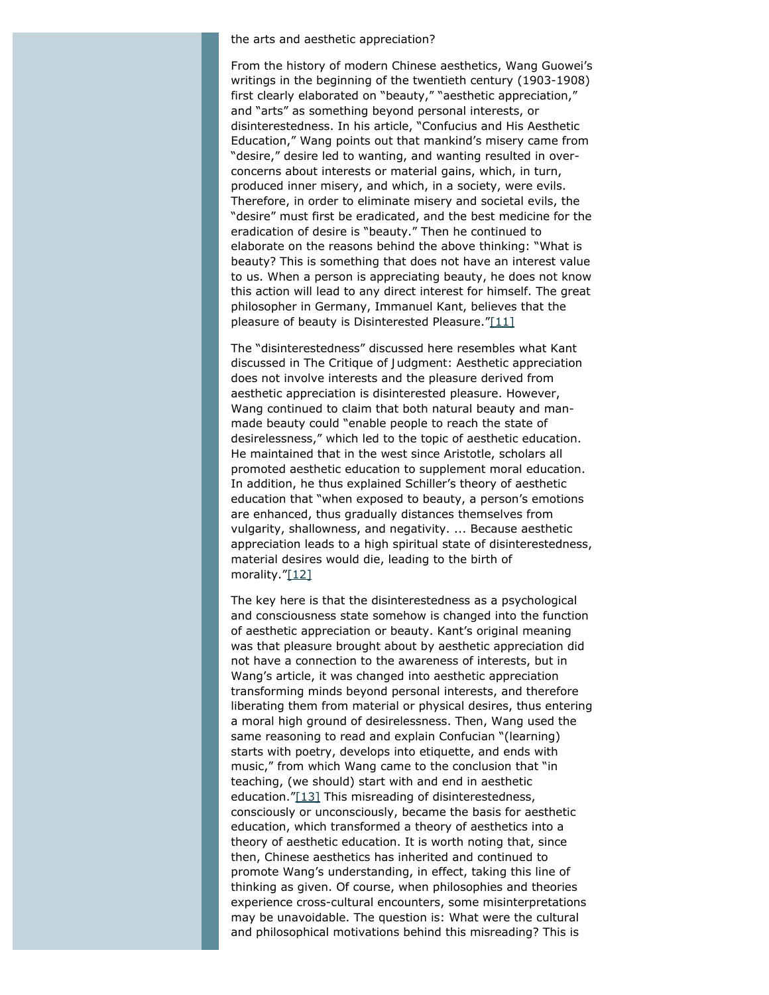#### the arts and aesthetic appreciation?

From the history of modern Chinese aesthetics, Wang Guowei's writings in the beginning of the twentieth century (1903-1908) first clearly elaborated on "beauty," "aesthetic appreciation," and "arts" as something beyond personal interests, or disinterestedness. In his article, "Confucius and His Aesthetic Education," Wang points out that mankind's misery came from "desire," desire led to wanting, and wanting resulted in overconcerns about interests or material gains, which, in turn, produced inner misery, and which, in a society, were evils. Therefore, in order to eliminate misery and societal evils, the "desire" must first be eradicated, and the best medicine for the eradication of desire is "beauty." Then he continued to elaborate on the reasons behind the above thinking: "What is beauty? This is something that does not have an interest value to us. When a person is appreciating beauty, he does not know this action will lead to any direct interest for himself. The great philosopher in Germany, Immanuel Kant, believes that the pleasure of beauty is Disinterested Pleasure.["\[11\]](#page-13-9)

<span id="page-5-0"></span>The "disinterestedness" discussed here resembles what Kant discussed in *The Critique of Judgment*: Aesthetic appreciation does not involve interests and the pleasure derived from aesthetic appreciation is disinterested pleasure. However, Wang continued to claim that both natural beauty and manmade beauty could "enable people to reach the state of desirelessness," which led to the topic of aesthetic education. He maintained that in the west since Aristotle, scholars all promoted aesthetic education to supplement moral education. In addition, he thus explained Schiller's theory of aesthetic education that "when exposed to beauty, a person's emotions are enhanced, thus gradually distances themselves from vulgarity, shallowness, and negativity. ... Because aesthetic appreciation leads to a high spiritual state of disinterestedness, material desires would die, leading to the birth of morality.["\[12\]](#page-13-10)

<span id="page-5-2"></span><span id="page-5-1"></span>The key here is that the disinterestedness as a psychological and consciousness state somehow is changed into the function of aesthetic appreciation or beauty. Kant's original meaning was that pleasure brought about by aesthetic appreciation did not have a connection to the awareness of interests, but in Wang's article, it was changed into aesthetic appreciation transforming minds beyond personal interests, and therefore liberating them from material or physical desires, thus entering a moral high ground of desirelessness. Then, Wang used the same reasoning to read and explain Confucian "(learning) starts with poetry, develops into etiquette, and ends with music," from which Wang came to the conclusion that "in teaching, (we should) start with and end in aesthetic education.["\[13\]](#page-13-11) This misreading of disinterestedness, consciously or unconsciously, became the basis for aesthetic education, which transformed a theory of aesthetics into a theory of aesthetic education. It is worth noting that, since then, Chinese aesthetics has inherited and continued to promote Wang's understanding, in effect, taking this line of thinking as given. Of course, when philosophies and theories experience cross-cultural encounters, some misinterpretations may be unavoidable. The question is: What were the cultural and philosophical motivations behind this misreading? This is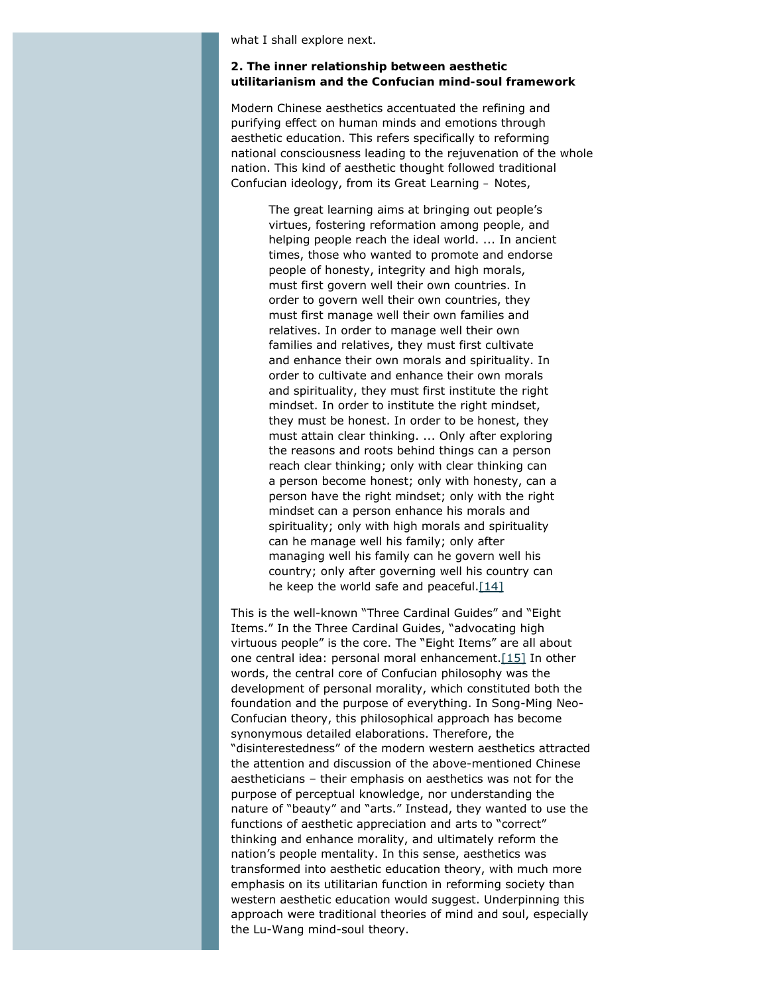what I shall explore next.

#### **2. The inner relationship between aesthetic utilitarianism and the Confucian mind-soul framework**

Modern Chinese aesthetics accentuated the refining and purifying effect on human minds and emotions through aesthetic education. This refers specifically to reforming national consciousness leading to the rejuvenation of the whole nation. This kind of aesthetic thought followed traditional Confucian ideology, from its *Great Learning – Notes*,

> The great learning aims at bringing out people's virtues, fostering reformation among people, and helping people reach the ideal world. ... In ancient times, those who wanted to promote and endorse people of honesty, integrity and high morals, must first govern well their own countries. In order to govern well their own countries, they must first manage well their own families and relatives. In order to manage well their own families and relatives, they must first cultivate and enhance their own morals and spirituality. In order to cultivate and enhance their own morals and spirituality, they must first institute the right mindset. In order to institute the right mindset, they must be honest. In order to be honest, they must attain clear thinking. ... Only after exploring the reasons and roots behind things can a person reach clear thinking; only with clear thinking can a person become honest; only with honesty, can a person have the right mindset; only with the right mindset can a person enhance his morals and spirituality; only with high morals and spirituality can he manage well his family; only after managing well his family can he govern well his country; only after governing well his country can he keep the world safe and peaceful.  $[14]$

<span id="page-6-1"></span><span id="page-6-0"></span>This is the well-known "Three Cardinal Guides" and "Eight Items." In the Three Cardinal Guides, "advocating high virtuous people" is the core. The "Eight Items" are all about one central idea: personal moral enhancement[.\[15\]](#page-13-13) In other words, the central core of Confucian philosophy was the development of personal morality, which constituted both the foundation and the purpose of everything. In Song-Ming Neo-Confucian theory, this philosophical approach has become synonymous detailed elaborations. Therefore, the "disinterestedness" of the modern western aesthetics attracted the attention and discussion of the above-mentioned Chinese aestheticians – their emphasis on aesthetics was not for the purpose of perceptual knowledge, nor understanding the nature of "beauty" and "arts." Instead, they wanted to use the functions of aesthetic appreciation and arts to "correct" thinking and enhance morality, and ultimately reform the nation's people mentality. In this sense, aesthetics was transformed into aesthetic education theory, with much more emphasis on its utilitarian function in reforming society than western aesthetic education would suggest. Underpinning this approach were traditional theories of mind and soul, especially the Lu-Wang mind-soul theory.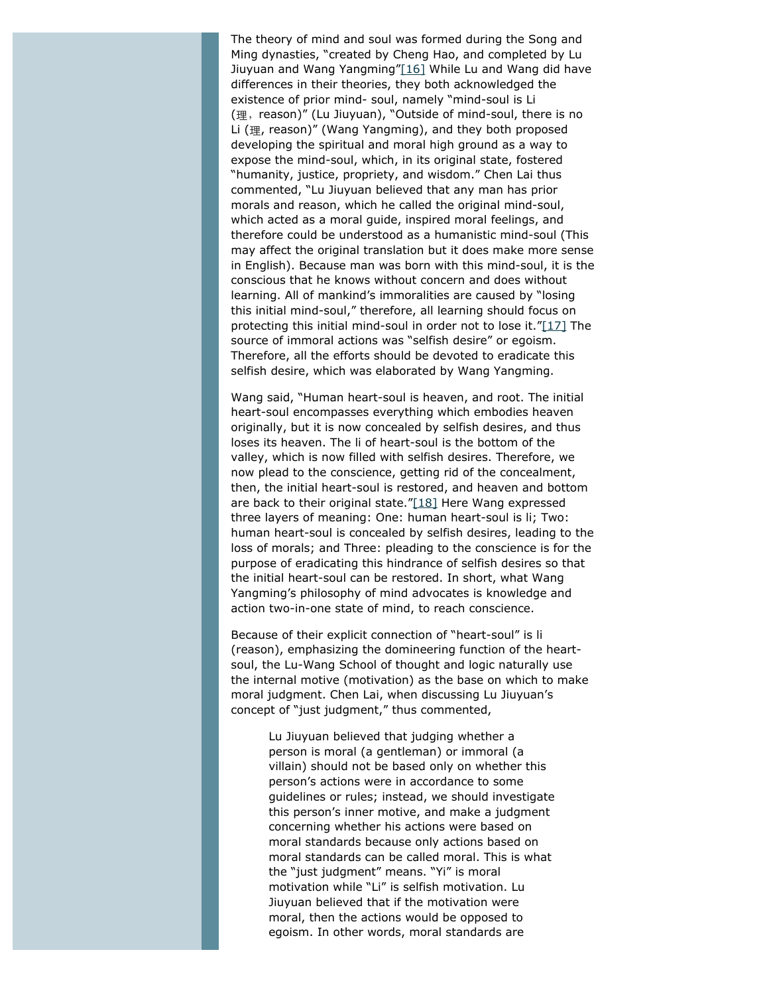<span id="page-7-0"></span>The theory of mind and soul was formed during the Song and Ming dynasties, "created by Cheng Hao, and completed by Lu Jiuyuan and Wang Yangming["\[16\]](#page-14-0) While Lu and Wang did have differences in their theories, they both acknowledged the existence of prior mind- soul, namely "mind-soul is Li (理, reason)" (Lu Jiuyuan), "Outside of mind-soul, there is no Li (理, reason)" (Wang Yangming), and they both proposed developing the spiritual and moral high ground as a way to expose the mind-soul, which, in its original state, fostered "humanity, justice, propriety, and wisdom." Chen Lai thus commented, "Lu Jiuyuan believed that any man has prior morals and reason, which he called the original mind-soul, which acted as a moral guide, inspired moral feelings, and therefore could be understood as a humanistic mind-soul (This may affect the original translation but it does make more sense in English). Because man was born with this mind-soul, it is the conscious that he knows without concern and does without learning. All of mankind's immoralities are caused by "losing this initial mind-soul," therefore, all learning should focus on protecting this initial mind-soul in order not to lose it."[\[17\]](#page-14-1) The source of immoral actions was "selfish desire" or egoism. Therefore, all the efforts should be devoted to eradicate this selfish desire, which was elaborated by Wang Yangming.

<span id="page-7-2"></span><span id="page-7-1"></span>Wang said, "Human heart-soul is heaven, and root. The initial heart-soul encompasses everything which embodies heaven originally, but it is now concealed by selfish desires, and thus loses its heaven. The *li* of heart-soul is the bottom of the valley, which is now filled with selfish desires. Therefore, we now plead to the conscience, getting rid of the concealment, then, the initial heart-soul is restored, and heaven and bottom are back to their original state."[\[18\]](#page-14-2) Here Wang expressed three layers of meaning: One: human heart-soul is *li*; Two: human heart-soul is concealed by selfish desires, leading to the loss of morals; and Three: pleading to the conscience is for the purpose of eradicating this hindrance of selfish desires so that the initial heart-soul can be restored. In short, what Wang Yangming's philosophy of mind advocates is knowledge and action two-in-one state of mind, to reach conscience.

Because of their explicit connection of "heart-soul" is *li* (reason), emphasizing the domineering function of the heartsoul, the Lu-Wang School of thought and logic naturally use the internal motive (motivation) as the base on which to make moral judgment. Chen Lai, when discussing Lu Jiuyuan's concept of "just judgment," thus commented,

> Lu Jiuyuan believed that judging whether a person is moral (a gentleman) or immoral (a villain) should not be based only on whether this person's actions were in accordance to some guidelines or rules; instead, we should investigate this person's inner motive, and make a judgment concerning whether his actions were based on moral standards because only actions based on moral standards can be called moral. This is what the "just judgment" means. "Yi" is moral motivation while "Li" is selfish motivation. Lu Jiuyuan believed that if the motivation were moral, then the actions would be opposed to egoism. In other words, moral standards are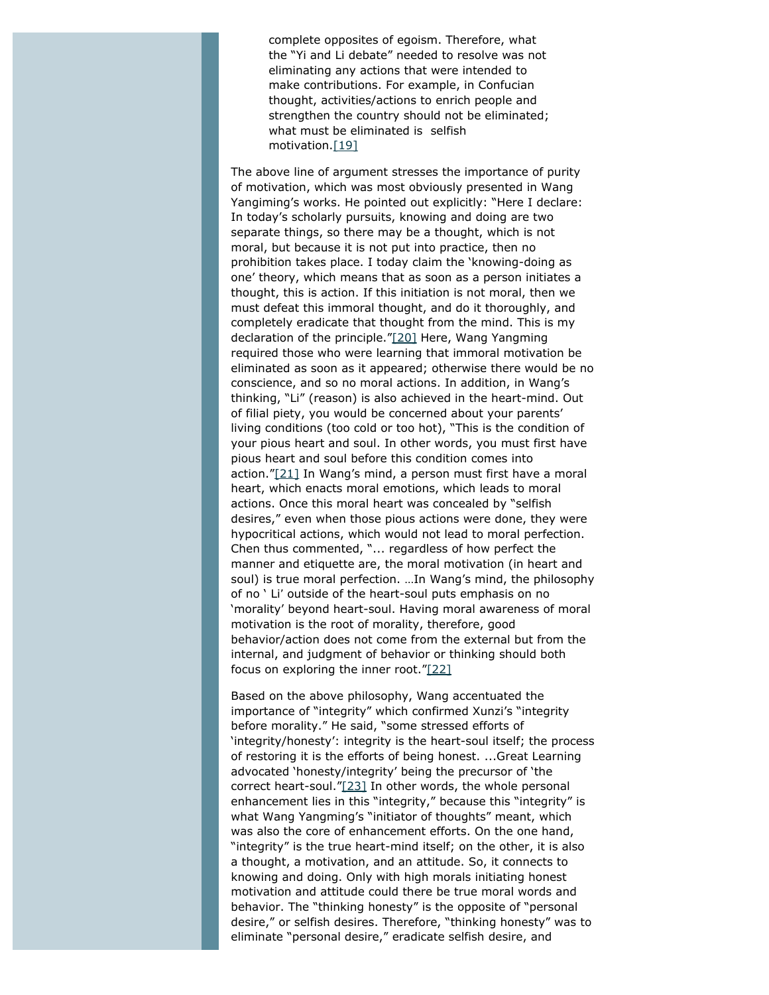complete opposites of egoism. Therefore, what the "Yi and Li debate" needed to resolve was not eliminating any actions that were intended to make contributions. For example, in Confucian thought, activities/actions to enrich people and strengthen the country should not be eliminated; what must be eliminated is selfish motivation[.\[19\]](#page-14-3)

<span id="page-8-1"></span><span id="page-8-0"></span>The above line of argument stresses the importance of purity of motivation, which was most obviously presented in Wang Yangiming's works. He pointed out explicitly: "Here I declare: In today's scholarly pursuits, knowing and doing are two separate things, so there may be a thought, which is not moral, but because it is not put into practice, then no prohibition takes place. I today claim the 'knowing-doing as one' theory, which means that as soon as a person initiates a thought, this is action. If this initiation is not moral, then we must defeat this immoral thought, and do it thoroughly, and completely eradicate that thought from the mind. This is my declaration of the principle.["\[20\]](#page-14-4) Here, Wang Yangming required those who were learning that immoral motivation be eliminated as soon as it appeared; otherwise there would be no conscience, and so no moral actions. In addition, in Wang's thinking, "Li" (reason) is also achieved in the heart-mind. Out of filial piety, you would be concerned about your parents' living conditions (too cold or too hot), "This is the condition of your pious heart and soul. In other words, you must first have pious heart and soul before this condition comes into action."[\[21\]](#page-14-5) In Wang's mind, a person must first have a moral heart, which enacts moral emotions, which leads to moral actions. Once this moral heart was concealed by "selfish desires," even when those pious actions were done, they were hypocritical actions, which would not lead to moral perfection. Chen thus commented, "... regardless of how perfect the manner and etiquette are, the moral motivation (in heart and soul) is true moral perfection. …In Wang's mind, the philosophy of no ' Li*'* outside of the heart-soul puts emphasis on no 'morality' beyond heart-soul. Having moral awareness of moral motivation is the root of morality, therefore, good behavior/action does not come from the external but from the internal, and judgment of behavior or thinking should both focus on exploring the inner root.["\[22\]](#page-14-6)

<span id="page-8-4"></span><span id="page-8-3"></span><span id="page-8-2"></span>Based on the above philosophy, Wang accentuated the importance of "integrity" which confirmed Xunzi's "integrity before morality." He said, "some stressed efforts of 'integrity/honesty': integrity is the heart-soul itself; the process of restoring it is the efforts of being honest. ...*Great Learning* advocated 'honesty/integrity' being the precursor of 'the correct heart-soul.["\[23\]](#page-14-7) In other words, the whole personal enhancement lies in this "integrity," because this "integrity" is what Wang Yangming's "initiator of thoughts" meant, which was also the core of enhancement efforts. On the one hand, "integrity" is the true heart-mind itself; on the other, it is also a thought, a motivation, and an attitude. So, it connects to knowing and doing. Only with high morals initiating honest motivation and attitude could there be true moral words and behavior. The "thinking honesty" is the opposite of "personal desire," or selfish desires. Therefore, "thinking honesty" was to eliminate "personal desire," eradicate selfish desire, and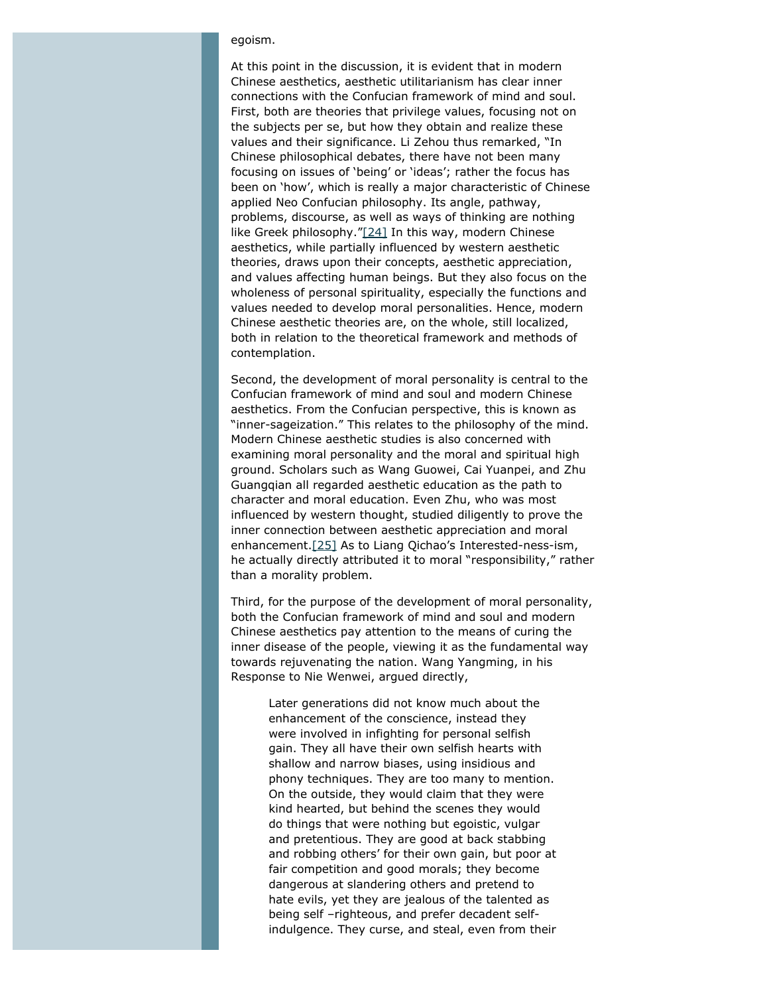#### egoism.

At this point in the discussion, it is evident that in modern Chinese aesthetics, aesthetic utilitarianism has clear inner connections with the Confucian framework of mind and soul. First, both are theories that privilege values, focusing not on the subjects per se, but how they obtain and realize these values and their significance. Li Zehou thus remarked, "In Chinese philosophical debates, there have not been many focusing on issues of 'being' or 'ideas'; rather the focus has been on 'how', which is really a major characteristic of Chinese applied Neo Confucian philosophy. Its angle, pathway, problems, discourse, as well as ways of thinking are nothing like Greek philosophy.["\[24\]](#page-14-8) In this way, modern Chinese aesthetics, while partially influenced by western aesthetic theories, draws upon their concepts, aesthetic appreciation, and values affecting human beings. But they also focus on the wholeness of personal spirituality, especially the functions and values needed to develop moral personalities. Hence, modern Chinese aesthetic theories are, on the whole, still localized, both in relation to the theoretical framework and methods of contemplation.

<span id="page-9-0"></span>Second, the development of moral personality is central to the Confucian framework of mind and soul and modern Chinese aesthetics. From the Confucian perspective, this is known as "inner-sageization." This relates to the philosophy of the mind. Modern Chinese aesthetic studies is also concerned with examining moral personality and the moral and spiritual high ground. Scholars such as Wang Guowei, Cai Yuanpei, and Zhu Guangqian all regarded aesthetic education as the path to character and moral education. Even Zhu, who was most influenced by western thought, studied diligently to prove the inner connection between aesthetic appreciation and moral enhancement.[\[25\]](#page-14-9) As to Liang Qichao's Interested-ness-ism, he actually directly attributed it to moral "responsibility," rather than a morality problem.

<span id="page-9-1"></span>Third, for the purpose of the development of moral personality, both the Confucian framework of mind and soul and modern Chinese aesthetics pay attention to the means of curing the inner disease of the people, viewing it as the fundamental way towards rejuvenating the nation. Wang Yangming, in his Response to Nie Wenwei, argued directly,

Later generations did not know much about the enhancement of the conscience, instead they were involved in infighting for personal selfish gain. They all have their own selfish hearts with shallow and narrow biases, using insidious and phony techniques. They are too many to mention. On the outside, they would claim that they were kind hearted, but behind the scenes they would do things that were nothing but egoistic, vulgar and pretentious. They are good at back stabbing and robbing others' for their own gain, but poor at fair competition and good morals; they become dangerous at slandering others and pretend to hate evils, yet they are jealous of the talented as being self –righteous, and prefer decadent selfindulgence. They curse, and steal, even from their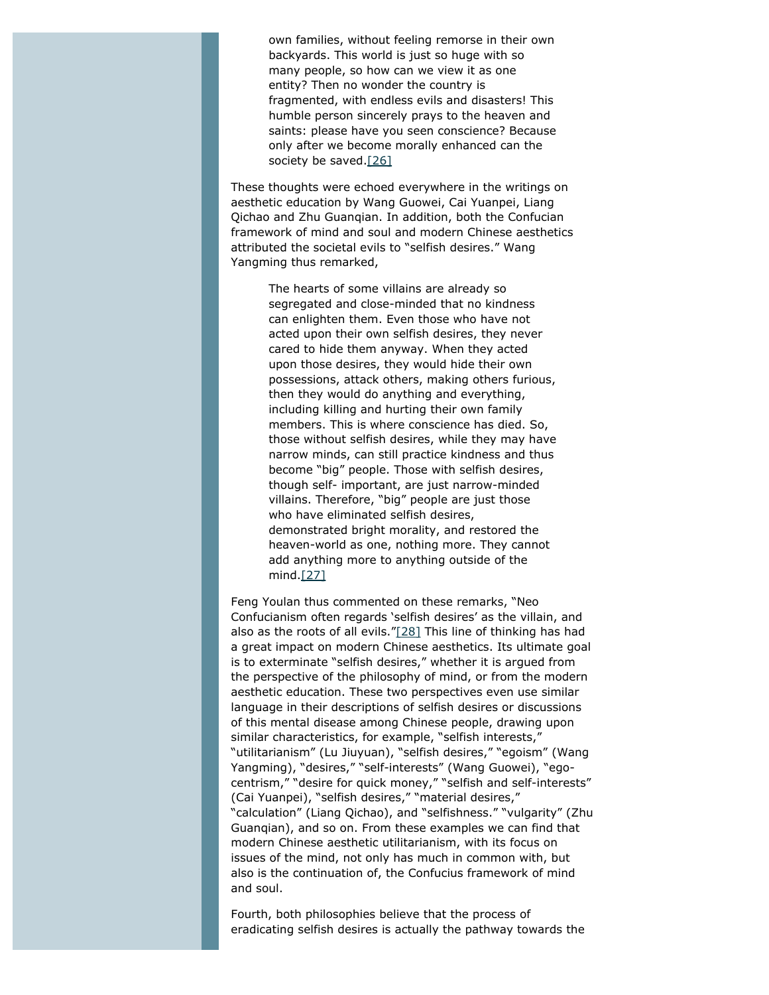own families, without feeling remorse in their own backyards. This world is just so huge with so many people, so how can we view it as one entity? Then no wonder the country is fragmented, with endless evils and disasters! This humble person sincerely prays to the heaven and saints: please have you seen conscience? Because only after we become morally enhanced can the society be saved[.\[26\]](#page-14-10)

<span id="page-10-0"></span>These thoughts were echoed everywhere in the writings on aesthetic education by Wang Guowei, Cai Yuanpei, Liang Qichao and Zhu Guanqian. In addition, both the Confucian framework of mind and soul and modern Chinese aesthetics attributed the societal evils to "selfish desires." Wang Yangming thus remarked,

> The hearts of some villains are already so segregated and close-minded that no kindness can enlighten them. Even those who have not acted upon their own selfish desires, they never cared to hide them anyway. When they acted upon those desires, they would hide their own possessions, attack others, making others furious, then they would do anything and everything, including killing and hurting their own family members. This is where conscience has died. So, those without selfish desires, while they may have narrow minds, can still practice kindness and thus become "big" people. Those with selfish desires, though self- important, are just narrow-minded villains. Therefore, "big" people are just those who have eliminated selfish desires, demonstrated bright morality, and restored the heaven-world as one, nothing more. They cannot add anything more to anything outside of the mind.[\[27\]](#page-14-11)

<span id="page-10-2"></span><span id="page-10-1"></span>Feng Youlan thus commented on these remarks, "Neo Confucianism often regards 'selfish desires' as the villain, and also as the roots of all evils.["\[28\]](#page-14-12) This line of thinking has had a great impact on modern Chinese aesthetics. Its ultimate goal is to exterminate "selfish desires," whether it is argued from the perspective of the philosophy of mind, or from the modern aesthetic education. These two perspectives even use similar language in their descriptions of selfish desires or discussions of this mental disease among Chinese people, drawing upon similar characteristics, for example, "selfish interests," "utilitarianism" (Lu Jiuyuan), "selfish desires," "egoism" (Wang Yangming), "desires," "self-interests" (Wang Guowei), "egocentrism," "desire for quick money," "selfish and self-interests" (Cai Yuanpei), "selfish desires," "material desires," "calculation" (Liang Qichao), and "selfishness." "vulgarity" (Zhu Guanqian), and so on. From these examples we can find that modern Chinese aesthetic utilitarianism, with its focus on issues of the mind, not only has much in common with, but also is the continuation of, the Confucius framework of mind and soul.

Fourth, both philosophies believe that the process of eradicating selfish desires is actually the pathway towards the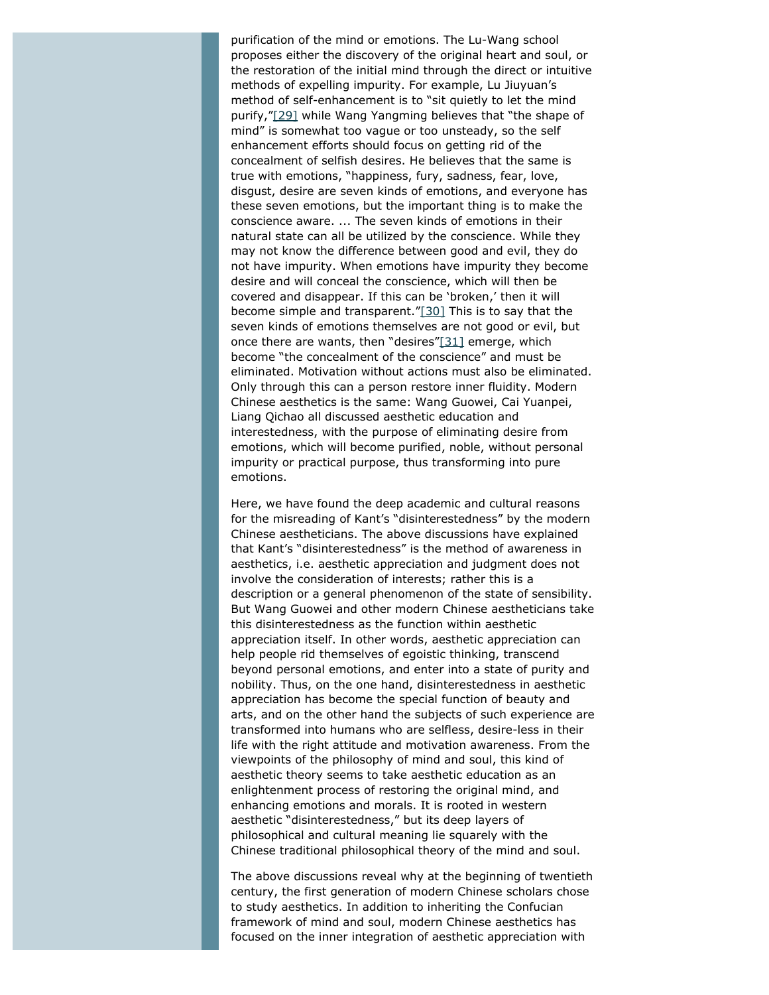<span id="page-11-0"></span>purification of the mind or emotions. The Lu-Wang school proposes either the discovery of the original heart and soul, or the restoration of the initial mind through the direct or intuitive methods of expelling impurity. For example, Lu Jiuyuan's method of self-enhancement is to "sit quietly to let the mind purify,["\[29\]](#page-14-13) while Wang Yangming believes that "the shape of mind" is somewhat too vague or too unsteady, so the self enhancement efforts should focus on getting rid of the concealment of selfish desires. He believes that the same is true with emotions, "happiness, fury, sadness, fear, love, disgust, desire are seven kinds of emotions, and everyone has these seven emotions, but the important thing is to make the conscience aware. ... The seven kinds of emotions in their natural state can all be utilized by the conscience. While they may not know the difference between good and evil, they do not have impurity. When emotions have impurity they become desire and will conceal the conscience, which will then be covered and disappear. If this can be 'broken,' then it will become simple and transparent."[\[30\]](#page-14-14) This is to say that the seven kinds of emotions themselves are not good or evil, but once there are wants, then "desires" $[31]$  emerge, which become "the concealment of the conscience" and must be eliminated. Motivation without actions must also be eliminated. Only through this can a person restore inner fluidity. Modern Chinese aesthetics is the same: Wang Guowei, Cai Yuanpei, Liang Qichao all discussed aesthetic education and interestedness, with the purpose of eliminating desire from emotions, which will become purified, noble, without personal impurity or practical purpose, thus transforming into pure emotions.

<span id="page-11-2"></span><span id="page-11-1"></span>Here, we have found the deep academic and cultural reasons for the misreading of Kant's "disinterestedness" by the modern Chinese aestheticians. The above discussions have explained that Kant's "disinterestedness" is the method of awareness in aesthetics, i.e. aesthetic appreciation and judgment does not involve the consideration of interests; rather this is a description or a general phenomenon of the state of sensibility. But Wang Guowei and other modern Chinese aestheticians take this disinterestedness as the function within aesthetic appreciation itself. In other words, aesthetic appreciation can help people rid themselves of egoistic thinking, transcend beyond personal emotions, and enter into a state of purity and nobility. Thus, on the one hand, disinterestedness in aesthetic appreciation has become the special function of beauty and arts, and on the other hand the subjects of such experience are transformed into humans who are selfless, desire-less in their life with the right attitude and motivation awareness. From the viewpoints of the philosophy of mind and soul, this kind of aesthetic theory seems to take aesthetic education as an enlightenment process of restoring the original mind, and enhancing emotions and morals. It is rooted in western aesthetic "disinterestedness," but its deep layers of philosophical and cultural meaning lie squarely with the Chinese traditional philosophical theory of the mind and soul.

The above discussions reveal why at the beginning of twentieth century, the first generation of modern Chinese scholars chose to study aesthetics. In addition to inheriting the Confucian framework of mind and soul, modern Chinese aesthetics has focused on the inner integration of aesthetic appreciation with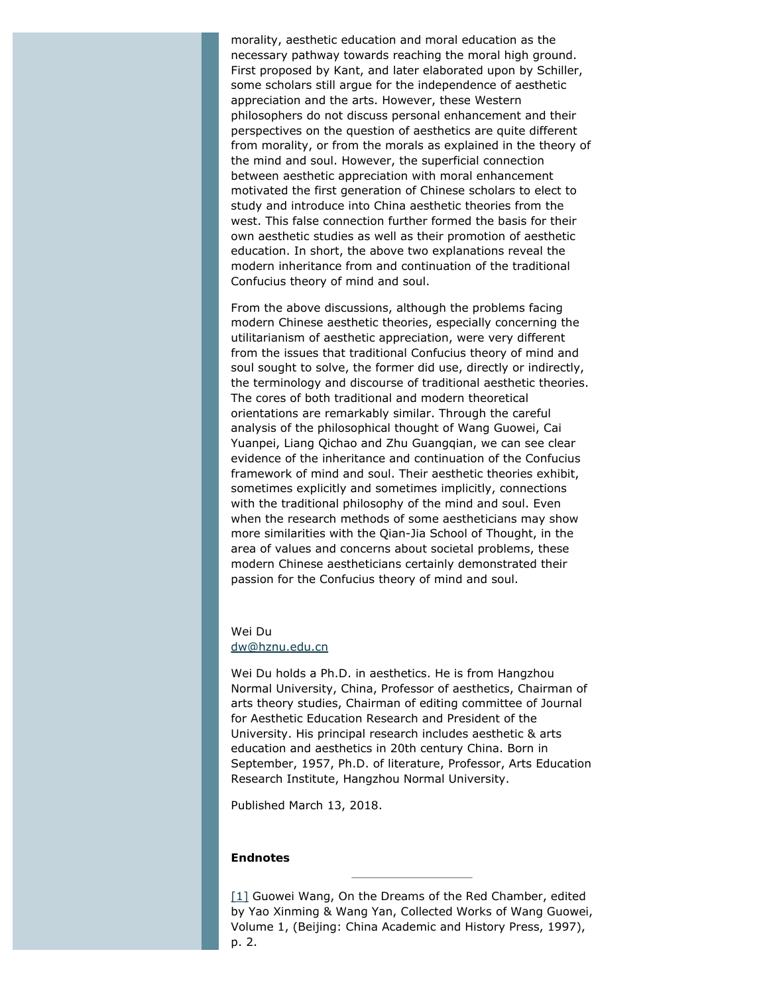morality, aesthetic education and moral education as the necessary pathway towards reaching the moral high ground. First proposed by Kant, and later elaborated upon by Schiller, some scholars still argue for the independence of aesthetic appreciation and the arts. However, these Western philosophers do not discuss personal enhancement and their perspectives on the question of aesthetics are quite different from morality, or from the morals as explained in the theory of the mind and soul. However, the superficial connection between aesthetic appreciation with moral enhancement motivated the first generation of Chinese scholars to elect to study and introduce into China aesthetic theories from the west. This false connection further formed the basis for their own aesthetic studies as well as their promotion of aesthetic education. In short, the above two explanations reveal the modern inheritance from and continuation of the traditional Confucius theory of mind and soul.

From the above discussions, although the problems facing modern Chinese aesthetic theories, especially concerning the utilitarianism of aesthetic appreciation, were very different from the issues that traditional Confucius theory of mind and soul sought to solve, the former did use, directly or indirectly, the terminology and discourse of traditional aesthetic theories. The cores of both traditional and modern theoretical orientations are remarkably similar. Through the careful analysis of the philosophical thought of Wang Guowei, Cai Yuanpei, Liang Qichao and Zhu Guangqian, we can see clear evidence of the inheritance and continuation of the Confucius framework of mind and soul. Their aesthetic theories exhibit, sometimes explicitly and sometimes implicitly, connections with the traditional philosophy of the mind and soul. Even when the research methods of some aestheticians may show more similarities with the Qian-Jia School of Thought, in the area of values and concerns about societal problems, these modern Chinese aestheticians certainly demonstrated their passion for the Confucius theory of mind and soul.

#### Wei Du [dw@hznu.edu.cn](mailto:dw@hznu.edu.cn)

Wei Du holds a Ph.D. in aesthetics. He is from Hangzhou Normal University, China, Professor of aesthetics, Chairman of arts theory studies, Chairman of editing committee of Journal for Aesthetic Education Research and President of the University. His principal research includes aesthetic & arts education and aesthetics in 20th century China. Born in September, 1957, Ph.D. of literature, Professor, Arts Education Research Institute, Hangzhou Normal University.

Published March 13, 2018.

#### **Endnotes**

<span id="page-12-0"></span>[\[1\]](#page-2-0) Guowei Wang, *On the Dreams of the Red Chamber*, edited by Yao Xinming & Wang Yan, *Collected Works of Wang Guowei*, Volume 1, (Beijing: China Academic and History Press, 1997), p. 2.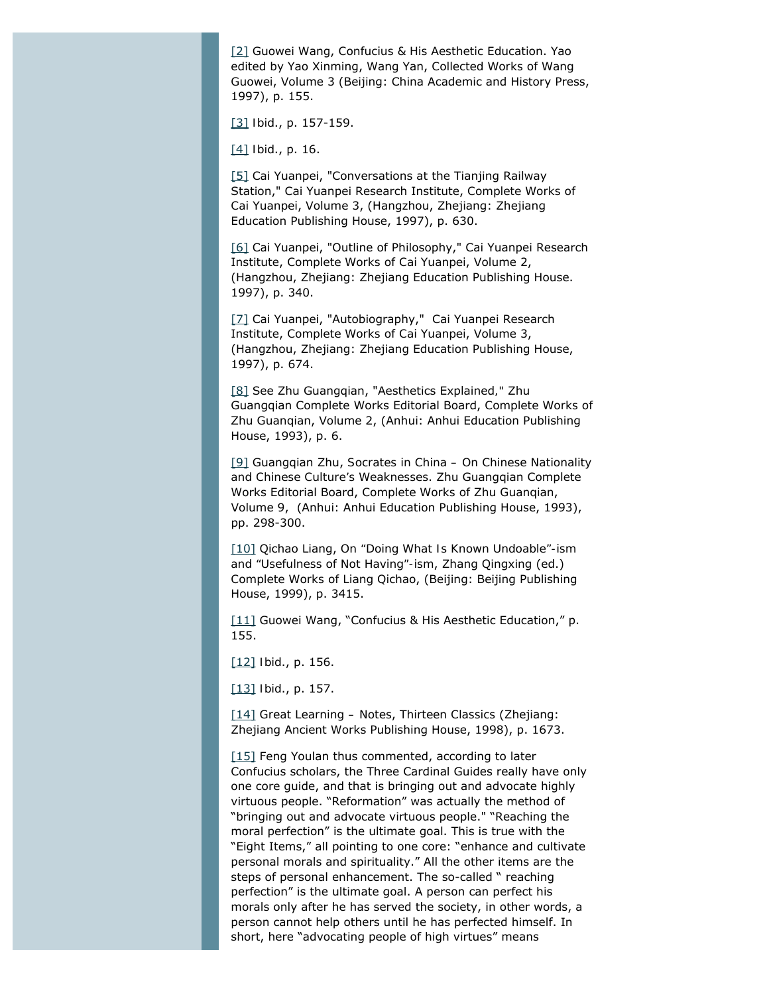<span id="page-13-0"></span>[\[2\]](#page-2-1) Guowei Wang, *Confucius & His Aesthetic Education*. Yao edited by Yao Xinming, Wang Yan, *Collected Works of Wang Guowei*, Volume 3 (Beijing: China Academic and History Press, 1997), p. 155.

<span id="page-13-2"></span><span id="page-13-1"></span>[\[3\]](#page-3-0) *Ibid*., p. 157-159.

[\[4\]](#page-3-1) *Ibid*., p. 16.

<span id="page-13-3"></span>[\[5\]](#page-3-2) Cai Yuanpei, "Conversations at the Tianjing Railway Station," Cai Yuanpei Research Institute, *Complete Works of Cai Yuanpei*, Volume 3, (Hangzhou, Zhejiang: Zhejiang Education Publishing House, 1997), p. 630.

<span id="page-13-4"></span>[\[6\]](#page-4-0) Cai Yuanpei, "Outline of Philosophy," Cai Yuanpei Research Institute, *Complete Works of Cai Yuanpei*, Volume 2, (Hangzhou, Zhejiang: Zhejiang Education Publishing House. 1997), p. 340.

<span id="page-13-5"></span>[\[7\]](#page-4-1) Cai Yuanpei, "Autobiography," Cai Yuanpei Research Institute, *Complete Works of Cai Yuanpei*, Volume 3, (Hangzhou, Zhejiang: Zhejiang Education Publishing House, 1997), p. 674.

<span id="page-13-6"></span>[\[8\]](#page-4-2) See Zhu Guangqian, "Aesthetics Explained*,"* Zhu Guangqian Complete Works Editorial Board, *Complete Works of Zhu Guanqian*, Volume 2, (Anhui: Anhui Education Publishing House, 1993), p. 6.

<span id="page-13-7"></span>[\[9\]](#page-4-3) Guangqian Zhu, *Socrates in China – On Chinese Nationality and Chinese Culture's Weaknesses*. Zhu Guangqian Complete Works Editorial Board, *Complete Works of Zhu Guanqian*, Volume 9, (Anhui: Anhui Education Publishing House, 1993), pp. 298-300.

<span id="page-13-8"></span>[\[10\]](#page-4-4) Qichao Liang, *On "Doing What Is Known Undoable"-ism and "Usefulness of Not Having"-ism*, Zhang Qingxing (ed.) *Complete Works of Liang Qichao*, (Beijing: Beijing Publishing House, 1999), p. 3415.

<span id="page-13-9"></span>[\[11\]](#page-5-0) Guowei Wang, "Confucius & His Aesthetic Education," p. 155.

<span id="page-13-10"></span>[\[12\]](#page-5-1) *Ibid*., p. 156.

<span id="page-13-11"></span>[\[13\]](#page-5-2) *Ibid*., p. 157.

<span id="page-13-12"></span>[\[14\]](#page-6-0) *Great Learning – Notes*, *Thirteen Classics* (Zhejiang: Zhejiang Ancient Works Publishing House, 1998), p. 1673.

<span id="page-13-13"></span>[\[15\]](#page-6-1) Feng Youlan thus commented, according to later Confucius scholars, the Three Cardinal Guides really have only one core guide, and that is bringing out and advocate highly virtuous people. "Reformation" was actually the method of "bringing out and advocate virtuous people." "Reaching the moral perfection" is the ultimate goal. This is true with the "Eight Items," all pointing to one core: "enhance and cultivate personal morals and spirituality." All the other items are the steps of personal enhancement. The so-called " reaching perfection" is the ultimate goal. A person can perfect his morals only after he has served the society, in other words, a person cannot help others until he has perfected himself. In short, here "advocating people of high virtues" means